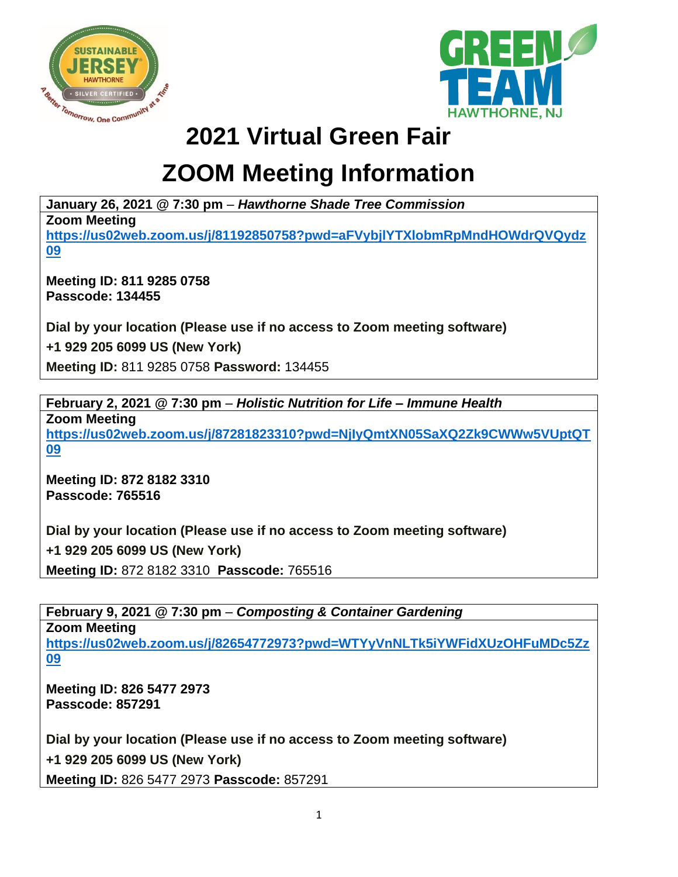



## **2021 Virtual Green Fair**

## **ZOOM Meeting Information**

**January 26, 2021 @ 7:30 pm** – *Hawthorne Shade Tree Commission*

**Zoom Meeting** 

**[https://us02web.zoom.us/j/81192850758?pwd=aFVybjlYTXlobmRpMndHOWdrQVQydz](https://us02web.zoom.us/j/81192850758?pwd=aFVybjlYTXlobmRpMndHOWdrQVQydz09) [09](https://us02web.zoom.us/j/81192850758?pwd=aFVybjlYTXlobmRpMndHOWdrQVQydz09)**

**Meeting ID: 811 9285 0758 Passcode: 134455**

**Dial by your location (Please use if no access to Zoom meeting software)**

**+1 929 205 6099 US (New York)**

**Meeting ID:** 811 9285 0758 **Password:** 134455

**February 2, 2021 @ 7:30 pm** – *Holistic Nutrition for Life – Immune Health*

**Zoom Meeting [https://us02web.zoom.us/j/87281823310?pwd=NjIyQmtXN05SaXQ2Zk9CWWw5VUptQT](https://us02web.zoom.us/j/87281823310?pwd=NjIyQmtXN05SaXQ2Zk9CWWw5VUptQT09) [09](https://us02web.zoom.us/j/87281823310?pwd=NjIyQmtXN05SaXQ2Zk9CWWw5VUptQT09)**

**Meeting ID: 872 8182 3310 Passcode: 765516**

**Dial by your location (Please use if no access to Zoom meeting software)**

**+1 929 205 6099 US (New York)**

**Meeting ID:** 872 8182 3310 **Passcode:** 765516

**February 9, 2021 @ 7:30 pm** – *Composting & Container Gardening* **Zoom Meeting [https://us02web.zoom.us/j/82654772973?pwd=WTYyVnNLTk5iYWFidXUzOHFuMDc5Zz](https://us02web.zoom.us/j/82654772973?pwd=WTYyVnNLTk5iYWFidXUzOHFuMDc5Zz09) [09](https://us02web.zoom.us/j/82654772973?pwd=WTYyVnNLTk5iYWFidXUzOHFuMDc5Zz09)**

**Meeting ID: 826 5477 2973 Passcode: 857291**

**Dial by your location (Please use if no access to Zoom meeting software)**

**+1 929 205 6099 US (New York)**

**Meeting ID:** 826 5477 2973 **Passcode:** 857291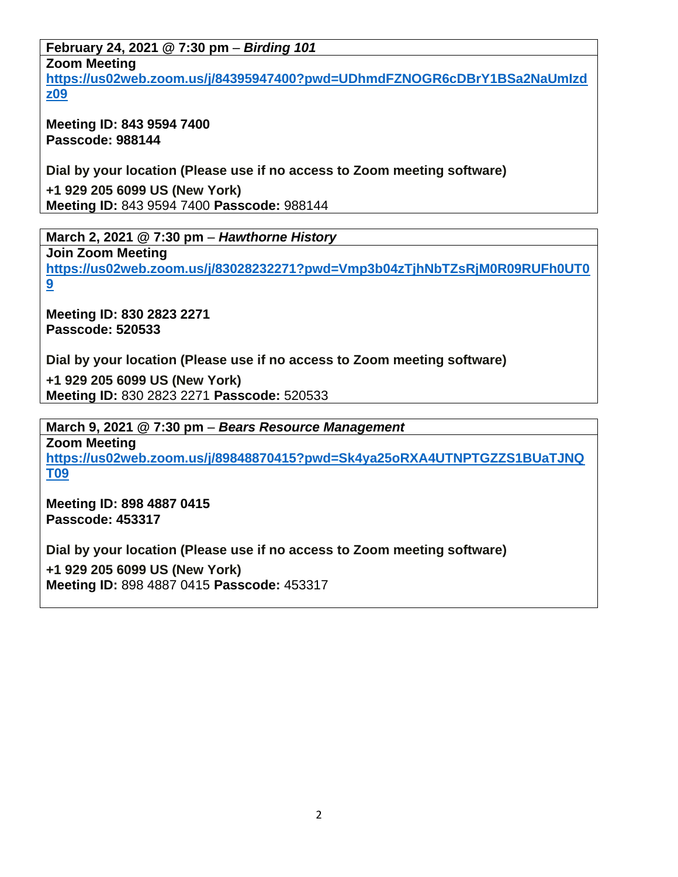**February 24, 2021 @ 7:30 pm** – *Birding 101* **Zoom Meeting**

**[https://us02web.zoom.us/j/84395947400?pwd=UDhmdFZNOGR6cDBrY1BSa2NaUmIzd](https://us02web.zoom.us/j/84395947400?pwd=UDhmdFZNOGR6cDBrY1BSa2NaUmIzdz09) [z09](https://us02web.zoom.us/j/84395947400?pwd=UDhmdFZNOGR6cDBrY1BSa2NaUmIzdz09)**

**Meeting ID: 843 9594 7400 Passcode: 988144**

**Dial by your location (Please use if no access to Zoom meeting software)**

**+1 929 205 6099 US (New York) Meeting ID:** 843 9594 7400 **Passcode:** 988144

**March 2, 2021 @ 7:30 pm** – *Hawthorne History* **Join Zoom Meeting [https://us02web.zoom.us/j/83028232271?pwd=Vmp3b04zTjhNbTZsRjM0R09RUFh0UT0](https://us02web.zoom.us/j/83028232271?pwd=Vmp3b04zTjhNbTZsRjM0R09RUFh0UT09) [9](https://us02web.zoom.us/j/83028232271?pwd=Vmp3b04zTjhNbTZsRjM0R09RUFh0UT09)**

**Meeting ID: 830 2823 2271 Passcode: 520533**

**Dial by your location (Please use if no access to Zoom meeting software)**

**+1 929 205 6099 US (New York) Meeting ID:** 830 2823 2271 **Passcode:** 520533

**March 9, 2021 @ 7:30 pm** – *Bears Resource Management* **Zoom Meeting [https://us02web.zoom.us/j/89848870415?pwd=Sk4ya25oRXA4UTNPTGZZS1BUaTJNQ](https://us02web.zoom.us/j/89848870415?pwd=Sk4ya25oRXA4UTNPTGZZS1BUaTJNQT09) [T09](https://us02web.zoom.us/j/89848870415?pwd=Sk4ya25oRXA4UTNPTGZZS1BUaTJNQT09)**

**Meeting ID: 898 4887 0415 Passcode: 453317**

**Dial by your location (Please use if no access to Zoom meeting software) +1 929 205 6099 US (New York) Meeting ID:** 898 4887 0415 **Passcode:** 453317